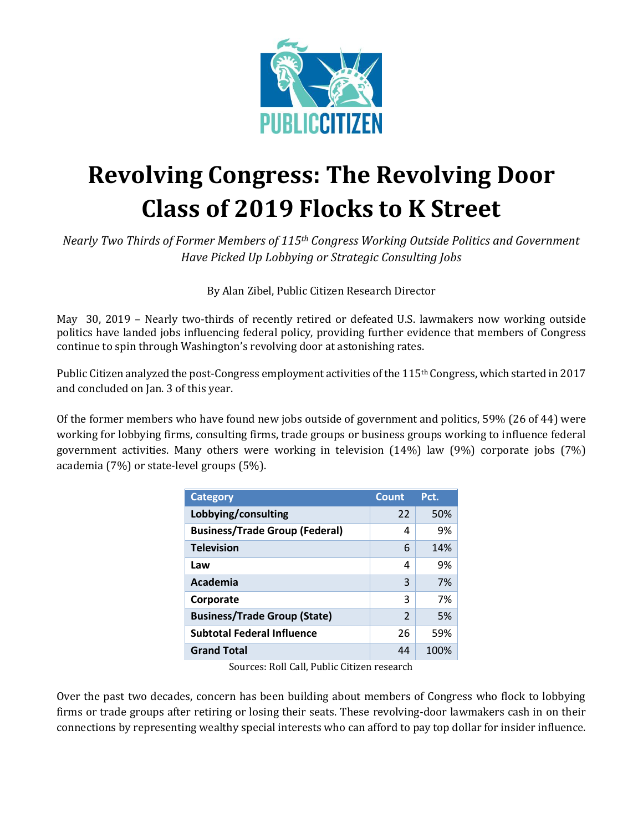

## **Revolving Congress: The Revolving Door Class of 2019 Flocks to K Street**

*Nearly Two Thirds of Former Members of 115th Congress Working Outside Politics and Government Have Picked Up Lobbying or Strategic Consulting Jobs* 

By Alan Zibel, Public Citizen Research Director

May 30, 2019 – Nearly two-thirds of recently retired or defeated U.S. lawmakers now working outside politics have landed jobs influencing federal policy, providing further evidence that members of Congress continue to spin through Washington's revolving door at astonishing rates.

Public Citizen analyzed the post-Congress employment activities of the 115th Congress, which started in 2017 and concluded on Jan. 3 of this year.

Of the former members who have found new jobs outside of government and politics, 59% (26 of 44) were working for lobbying firms, consulting firms, trade groups or business groups working to influence federal government activities. Many others were working in television (14%) law (9%) corporate jobs (7%) academia (7%) or state-level groups (5%).

| <b>Category</b>                       | Count         | Pct. |
|---------------------------------------|---------------|------|
| Lobbying/consulting                   | 22            | 50%  |
| <b>Business/Trade Group (Federal)</b> | 4             | 9%   |
| <b>Television</b>                     | 6             | 14%  |
| Law                                   | 4             | 9%   |
| Academia                              | 3             | 7%   |
| Corporate                             | 3             | 7%   |
| <b>Business/Trade Group (State)</b>   | $\mathcal{P}$ | 5%   |
| <b>Subtotal Federal Influence</b>     | 26            | 59%  |
| <b>Grand Total</b>                    | 44            | 100% |

Sources: Roll Call, Public Citizen research

Over the past two decades, concern has been building about members of Congress who flock to lobbying firms or trade groups after retiring or losing their seats. These revolving-door lawmakers cash in on their connections by representing wealthy special interests who can afford to pay top dollar for insider influence.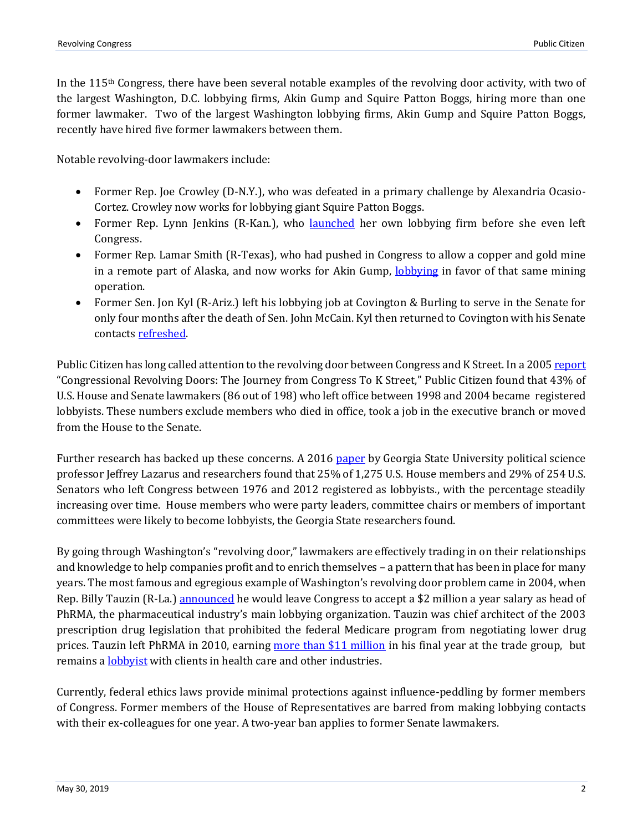In the 115th Congress, there have been several notable examples of the revolving door activity, with two of the largest Washington, D.C. lobbying firms, Akin Gump and Squire Patton Boggs, hiring more than one former lawmaker. Two of the largest Washington lobbying firms, Akin Gump and Squire Patton Boggs, recently have hired five former lawmakers between them.

Notable revolving-door lawmakers include:

- Former Rep. Joe Crowley (D-N.Y.), who was defeated in a primary challenge by Alexandria Ocasio-Cortez. Crowley now works for lobbying giant Squire Patton Boggs.
- Former Rep. Lynn Jenkins (R-Kan.), who [launched](https://www.mcclatchydc.com/news/politics-government/congress/article222791425.html) her own lobbying firm before she even left Congress.
- Former Rep. Lamar Smith (R-Texas), who had pushed in Congress to allow a copper and gold mine in a remote part of Alaska, and now works for Akin Gump, [lobbying](https://soprweb.senate.gov/index.cfm?event=getFilingDetails&filingID=845CC9E9-8E73-409B-A368-92AE174C9D0B&filingTypeID=51) in favor of that same mining operation.
- Former Sen. Jon Kyl (R-Ariz.) left his lobbying job at Covington & Burling to serve in the Senate for only four months after the death of Sen. John McCain. Kyl then returned to Covington with his Senate contact[s refreshed.](https://theintercept.com/2018/12/10/jon-kyl-senator-arizona/)

Public Citizen has long called attention to the revolving door between Congress and K Street. In a 200[5 report](https://www.citizen.org/wp-content/uploads/Congressional-Revolving-Doors-2005.pdf) "Congressional Revolving Doors: The Journey from Congress To K Street," Public Citizen found that 43% of U.S. House and Senate lawmakers (86 out of 198) who left office between 1998 and 2004 became registered lobbyists. These numbers exclude members who died in office, took a job in the executive branch or moved from the House to the Senate.

Further research has backed up these concerns. A 2016 [paper](https://www.vox.com/2016/1/15/10775788/revolving-door-lobbying) by Georgia State University political science professor Jeffrey Lazarus and researchers found that 25% of 1,275 U.S. House members and 29% of 254 U.S. Senators who left Congress between 1976 and 2012 registered as lobbyists., with the percentage steadily increasing over time. House members who were party leaders, committee chairs or members of important committees were likely to become lobbyists, the Georgia State researchers found.

By going through Washington's "revolving door," lawmakers are effectively trading in on their relationships and knowledge to help companies profit and to enrich themselves – a pattern that has been in place for many years. The most famous and egregious example of Washington's revolving door problem came in 2004, when Rep. Billy Tauzin (R-La.) [announced](https://www.nytimes.com/2004/12/16/politics/houses-author-of-drug-benefit-joins-lobbyists.html) he would leave Congress to accept a \$2 million a year salary as head of PhRMA, the pharmaceutical industry's main lobbying organization. Tauzin was chief architect of the 2003 prescription drug legislation that prohibited the federal Medicare program from negotiating lower drug prices. Tauzin left PhRMA in 2010, earning [more than \\$11 million](https://www.nola.com/politics/2011/12/former_us_rep_billy_tauzin_was.html) in his final year at the trade group, but remains a **lobbyist** with clients in health care and other industries.

Currently, federal ethics laws provide minimal protections against influence-peddling by former members of Congress. Former members of the House of Representatives are barred from making lobbying contacts with their ex-colleagues for one year. A two-year ban applies to former Senate lawmakers.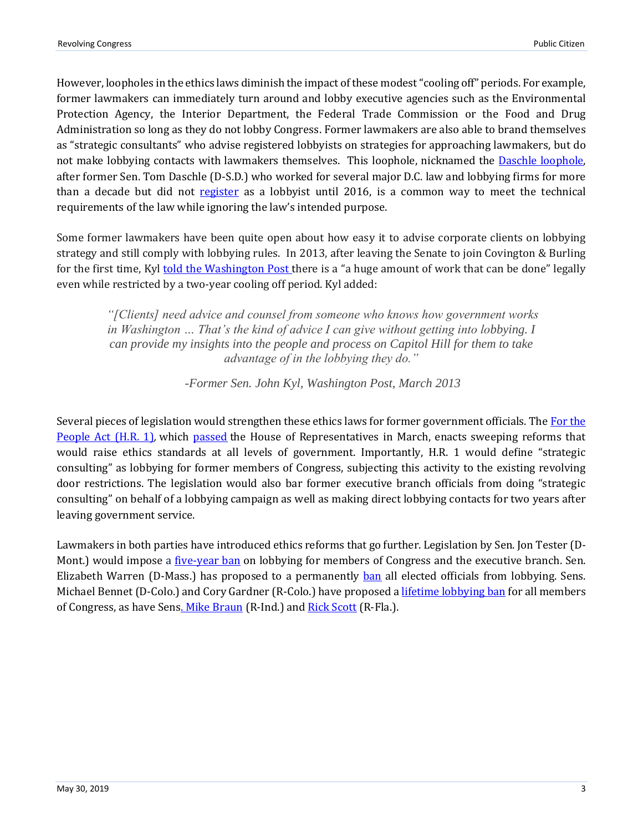However, loopholes in the ethics laws diminish the impact of these modest "cooling off" periods. For example, former lawmakers can immediately turn around and lobby executive agencies such as the Environmental Protection Agency, the Interior Department, the Federal Trade Commission or the Food and Drug Administration so long as they do not lobby Congress. Former lawmakers are also able to brand themselves as "strategic consultants" who advise registered lobbyists on strategies for approaching lawmakers, but do not make lobbying contacts with lawmakers themselves. This loophole, nicknamed the **Daschle loophole**, after former Sen. Tom Daschle (D-S.D.) who worked for several major D.C. law and lobbying firms for more than a decade but did not [register](https://www.politico.com/story/2016/03/tom-daschle-officially-lobbyist-221334) as a lobbyist until 2016, is a common way to meet the technical requirements of the law while ignoring the law's intended purpose.

Some former lawmakers have been quite open about how easy it to advise corporate clients on lobbying strategy and still comply with lobbying rules. In 2013, after leaving the Senate to join Covington & Burling for the first time, Kyl [told the Washington Post t](https://www.washingtonpost.com/blogs/capital-business/post/former-sen-jon-kyl-joins-lobby-shop-at-covington/2013/03/05/36df6a94-85e5-11e2-9d71-f0feafdd1394_blog.html?utm_term=.4ca7f0e68c17)here is a "a huge amount of work that can be done" legally even while restricted by a two-year cooling off period. Kyl added:

*"[Clients] need advice and counsel from someone who knows how government works in Washington ... That's the kind of advice I can give without getting into lobbying. I can provide my insights into the people and process on Capitol Hill for them to take advantage of in the lobbying they do."*

*-Former Sen. John Kyl, Washington Post, March 2013*

Several pieces of legislation would strengthen these ethics laws for former government officials. The For the [People Act \(H.R. 1\)](https://oversight.house.gov/legislation/hearings/hr-1-strengthening-ethics-rules-for-the-executive-branch)*,* which [passed](https://www.citizen.org/news/house-passes-historic-democracy-reform-and-corruption-overhaul-legislation/) the House of Representatives in March, enacts sweeping reforms that would raise ethics standards at all levels of government. Importantly, H.R. 1 would define "strategic consulting" as lobbying for former members of Congress, subjecting this activity to the existing revolving door restrictions. The legislation would also bar former executive branch officials from doing "strategic consulting" on behalf of a lobbying campaign as well as making direct lobbying contacts for two years after leaving government service.

Lawmakers in both parties have introduced ethics reforms that go further. Legislation by Sen. Jon Tester (D-Mont.) would impose a <u>five-year ban</u> on lobbying for members of Congress and the executive branch. Sen. Elizabeth Warren (D-Mass.) has proposed to a permanently [ban](https://www.politico.com/story/2018/08/21/elizabeth-warren-lobbying-crackdown-745261) all elected officials from lobbying. Sens. Michael Bennet (D-Colo.) and Cory Gardner (R-Colo.) have proposed [a lifetime lobbying ban](https://thehill.com/blogs/floor-action/senate/334229-senators-introduce-lifetime-lobbying-ban-for-lawmakers) for all members of Congress, as have Sen[s. Mike Braun](https://www.marketwatch.com/story/as-15-ex-lawmakers-from-last-congress-join-lobbying-firms-2-senators-roll-out-bill-to-ban-such-moves-2019-03-04) (R-Ind.) and [Rick Scott](https://www.rickscott.senate.gov/sen-rick-scott-introduces-bill-permanently-ban-members-congress-lobbying) (R-Fla.).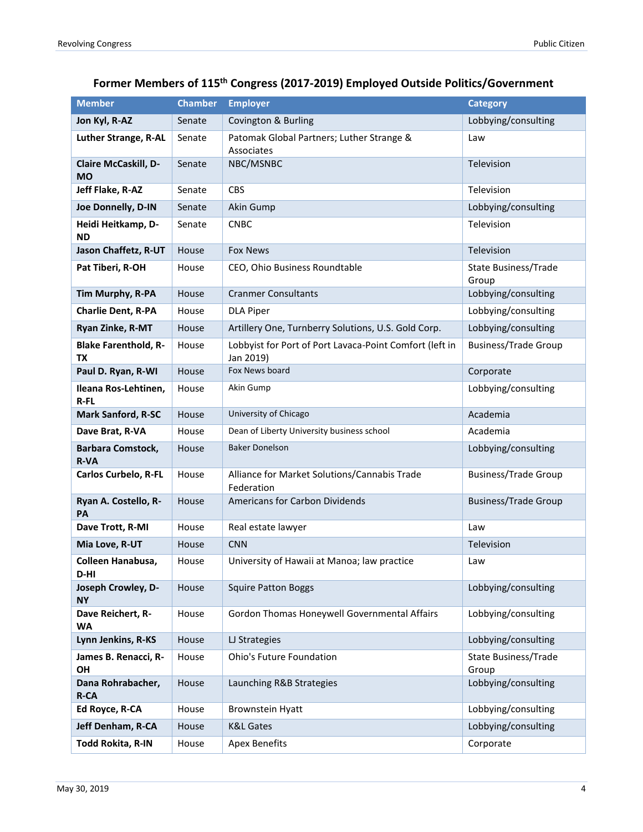### **Former Members of 115th Congress (2017-2019) Employed Outside Politics/Government**

| <b>Member</b>                           | <b>Chamber</b> | <b>Employer</b>                                                      | <b>Category</b>               |
|-----------------------------------------|----------------|----------------------------------------------------------------------|-------------------------------|
| Jon Kyl, R-AZ                           | Senate         | Covington & Burling                                                  | Lobbying/consulting           |
| <b>Luther Strange, R-AL</b>             | Senate         | Patomak Global Partners; Luther Strange &<br>Associates              | Law                           |
| Claire McCaskill, D-<br><b>MO</b>       | Senate         | NBC/MSNBC                                                            | Television                    |
| Jeff Flake, R-AZ                        | Senate         | <b>CBS</b>                                                           | Television                    |
| Joe Donnelly, D-IN                      | Senate         | Akin Gump                                                            | Lobbying/consulting           |
| Heidi Heitkamp, D-<br><b>ND</b>         | Senate         | <b>CNBC</b>                                                          | Television                    |
| Jason Chaffetz, R-UT                    | House          | <b>Fox News</b>                                                      | Television                    |
| Pat Tiberi, R-OH                        | House          | CEO, Ohio Business Roundtable                                        | State Business/Trade<br>Group |
| Tim Murphy, R-PA                        | House          | <b>Cranmer Consultants</b>                                           | Lobbying/consulting           |
| <b>Charlie Dent, R-PA</b>               | House          | <b>DLA Piper</b>                                                     | Lobbying/consulting           |
| Ryan Zinke, R-MT                        | House          | Artillery One, Turnberry Solutions, U.S. Gold Corp.                  | Lobbying/consulting           |
| <b>Blake Farenthold, R-</b><br>ТX       | House          | Lobbyist for Port of Port Lavaca-Point Comfort (left in<br>Jan 2019) | <b>Business/Trade Group</b>   |
| Paul D. Ryan, R-WI                      | House          | Fox News board                                                       | Corporate                     |
| Ileana Ros-Lehtinen,<br>R-FL            | House          | Akin Gump                                                            | Lobbying/consulting           |
| <b>Mark Sanford, R-SC</b>               | House          | University of Chicago                                                | Academia                      |
| Dave Brat, R-VA                         | House          | Dean of Liberty University business school                           | Academia                      |
| <b>Barbara Comstock,</b><br><b>R-VA</b> | House          | <b>Baker Donelson</b>                                                | Lobbying/consulting           |
| <b>Carlos Curbelo, R-FL</b>             | House          | Alliance for Market Solutions/Cannabis Trade<br>Federation           | <b>Business/Trade Group</b>   |
| Ryan A. Costello, R-<br>PA              | House          | <b>Americans for Carbon Dividends</b>                                | <b>Business/Trade Group</b>   |
| Dave Trott, R-MI                        | House          | Real estate lawyer                                                   | Law                           |
| Mia Love, R-UT                          | House          | <b>CNN</b>                                                           | Television                    |
| Colleen Hanabusa,<br>D-HI               | House          | University of Hawaii at Manoa; law practice                          | Law                           |
| Joseph Crowley, D-<br><b>NY</b>         | House          | <b>Squire Patton Boggs</b>                                           | Lobbying/consulting           |
| Dave Reichert, R-<br><b>WA</b>          | House          | Gordon Thomas Honeywell Governmental Affairs                         | Lobbying/consulting           |
| Lynn Jenkins, R-KS                      | House          | LJ Strategies                                                        | Lobbying/consulting           |
| James B. Renacci, R-<br>OH              | House          | <b>Ohio's Future Foundation</b>                                      | State Business/Trade<br>Group |
| Dana Rohrabacher,<br><b>R-CA</b>        | House          | Launching R&B Strategies                                             | Lobbying/consulting           |
| Ed Royce, R-CA                          | House          | Brownstein Hyatt                                                     | Lobbying/consulting           |
| Jeff Denham, R-CA                       | House          | <b>K&amp;L Gates</b>                                                 | Lobbying/consulting           |
| Todd Rokita, R-IN                       | House          | <b>Apex Benefits</b>                                                 | Corporate                     |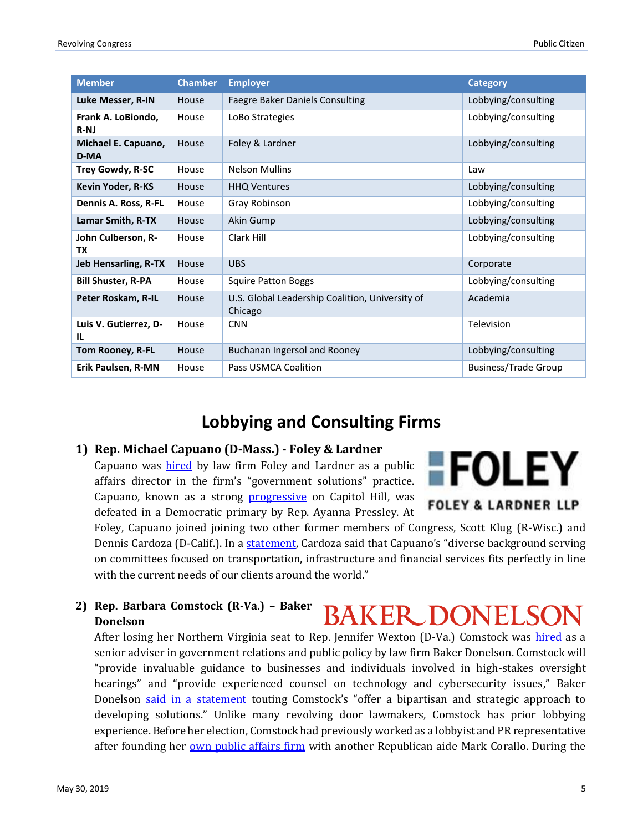| <b>Member</b>                   | <b>Chamber</b> | <b>Employer</b>                                            | <b>Category</b>             |
|---------------------------------|----------------|------------------------------------------------------------|-----------------------------|
| Luke Messer, R-IN               | House          | <b>Faegre Baker Daniels Consulting</b>                     | Lobbying/consulting         |
| Frank A. LoBiondo,<br>$R-NJ$    | House          | LoBo Strategies                                            | Lobbying/consulting         |
| Michael E. Capuano,<br>D-MA     | House          | Foley & Lardner                                            | Lobbying/consulting         |
| <b>Trey Gowdy, R-SC</b>         | House          | <b>Nelson Mullins</b>                                      | Law                         |
| <b>Kevin Yoder, R-KS</b>        | House          | <b>HHQ Ventures</b>                                        | Lobbying/consulting         |
| Dennis A. Ross, R-FL            | House          | Gray Robinson                                              | Lobbying/consulting         |
| Lamar Smith, R-TX               | House          | Akin Gump                                                  | Lobbying/consulting         |
| John Culberson, R-<br><b>TX</b> | House          | Clark Hill                                                 | Lobbying/consulting         |
| <b>Jeb Hensarling, R-TX</b>     | House          | <b>UBS</b>                                                 | Corporate                   |
| <b>Bill Shuster, R-PA</b>       | House          | <b>Squire Patton Boggs</b>                                 | Lobbying/consulting         |
| Peter Roskam, R-IL              | House          | U.S. Global Leadership Coalition, University of<br>Chicago | Academia                    |
| Luis V. Gutierrez, D-<br>IL     | House          | <b>CNN</b>                                                 | Television                  |
| Tom Rooney, R-FL                | House          | Buchanan Ingersol and Rooney                               | Lobbying/consulting         |
| Erik Paulsen, R-MN              | House          | Pass USMCA Coalition                                       | <b>Business/Trade Group</b> |

### **Lobbying and Consulting Firms**

### **1) Rep. Michael Capuano (D-Mass.) - Foley & Lardner**

Capuano was [hired](https://www.bostonglobe.com/metro/2019/03/01/michael-capuano-lands-new-job-law-firm/xdedOQPG5zmAL2pPU7PSiM/story.html) by law firm Foley and Lardner as a public affairs director in the firm's "government solutions" practice. Capuano, known as a strong [progressive](https://theintercept.com/2018/08/18/mike-capuano-ayanna-pressley-massachusetts-primary/) on Capitol Hill, was defeated in a Democratic primary by Rep. Ayanna Pressley. At



Foley, Capuano joined joining two other former members of Congress, Scott Klug (R-Wisc.) and Dennis Cardoza (D-Calif.). In [a statement](https://www.foley.com/Foley-Adds-Former-US-Congressman-Michael-Capuano-03-01-2019/), Cardoza said that Capuano's "diverse background serving on committees focused on transportation, infrastructure and financial services fits perfectly in line with the current needs of our clients around the world."

**2) Rep. Barbara Comstock (R-Va.) – Baker BAKER DONELSON Donelson** 

After losing her Northern Virginia seat to Rep. Jennifer Wexton (D-Va.) Comstock was [hired](https://www.washingtonexaminer.com/opinion/barbara-comstock-returns-to-the-swamp) as a senior adviser in government relations and public policy by law firm Baker Donelson. Comstock will "provide invaluable guidance to businesses and individuals involved in high-stakes oversight hearings" and "provide experienced counsel on technology and cybersecurity issues," Baker Donelson [said in a statement](https://www.bakerdonelson.com/former-congresswoman-barbara-comstock-joins-baker-donelsons-government-relations-and-public-policy-group?utm_source=twitter&utm_medium=hootsuite) touting Comstock's "offer a bipartisan and strategic approach to developing solutions." Unlike many revolving door lawmakers, Comstock has prior lobbying experience. Before her election, Comstock had previously worked as a lobbyist and PR representative after founding her [own public affairs firm](http://www.washingtonpost.com/wp-dyn/content/article/2006/12/05/AR2006120501174.html) with another Republican aide Mark Corallo. During the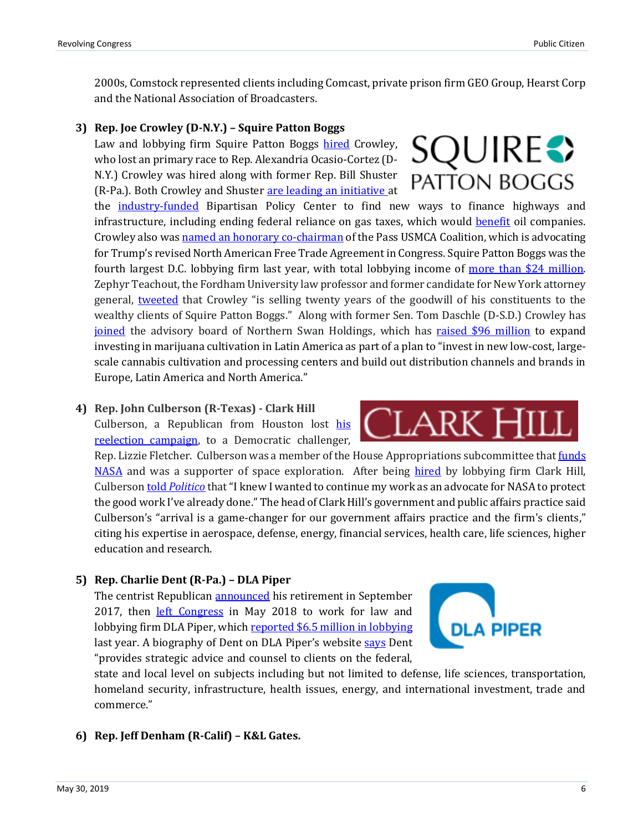2000s, Comstock represented clients including Comcast, private prison firm GEO Group, Hearst Corp and the National Association of Broadcasters.

### **3) Rep. Joe Crowley (D-N.Y.) – Squire Patton Boggs**

Law and lobbying firm Squire Patton Boggs [hired](https://www.politico.com/story/2019/02/19/crowley-shuster-lobbyists-1173771) Crowley, who lost an primary race to Rep. Alexandria Ocasio-Cortez (D-N.Y.) Crowley was hired along with former Rep. Bill Shuster (R-Pa.). Both Crowley and Shuster [are leading an initiative a](https://bipartisanpolicy.org/press-release/bpc-launches-new-initiative-to-develop-long-term-solutions-to-funding-federal-infrastructure-needs/)t

the [industry-funded](https://www.washingtonpost.com/news/wonk/wp/2013/08/15/at-the-bipartisan-policy-center-is-cash-the-real-divide/?utm_term=.498f42e9dae0) Bipartisan Policy Center to find new ways to finance highways and infrastructure, including ending federal reliance on gas taxes, which would [benefit](https://readsludge.com/2019/02/26/shadow-lobbyist-joe-crowley-is-poised-to-advance-shell-oils-tax-interests/) oil companies. Crowley also wa[s named an honorary co-chairman](https://readsludge.com/2019/03/21/defeated-by-aoc-crowley-now-pushes-trumps-trade-deal-for-k-street/) of the Pass USMCA Coalition, which is advocating for Trump's revised North American Free Trade Agreement in Congress. Squire Patton Boggs was the fourth largest D.C. lobbying firm last year, with total lobbying income of [more than \\$24 million.](https://www.opensecrets.org/lobby/top.php?indexType=l&showYear=2018) Zephyr Teachout, the Fordham University law professor and former candidate for New York attorney general, [tweeted](https://twitter.com/ZephyrTeachout/status/1097885386867687425) that Crowley "is selling twenty years of the goodwill of his constituents to the wealthy clients of Squire Patton Boggs." Along with former Sen. Tom Daschle (D-S.D.) Crowley has [joined](https://www.bloomberg.com/news/articles/2019-05-20/crowley-joins-cannabis-board-after-primary-loss-to-ocasio-cortez) the advisory board of Northern Swan Holdings, which has raised \$96 [million](https://finance.yahoo.com/news/northern-swan-holdings-appoints-former-120100298.html) to expand investing in marijuana cultivation in Latin America as part of a plan to "invest in new low-cost, largescale cannabis cultivation and processing centers and build out distribution channels and brands in Europe, Latin America and North America."

### **4) Rep. John Culberson (R-Texas) - Clark Hill**

Culberson, a Republican from Houston lost [his](https://www.chron.com/news/politics/texas/article/Fletcher-takes-early-lead-in-Houston-s-toss-up-13368933.php) reelection [campaign,](https://www.chron.com/news/politics/texas/article/Fletcher-takes-early-lead-in-Houston-s-toss-up-13368933.php) to a Democratic challenger,

Rep. Lizzie Fletcher. Culberson was a member of the House Appropriations subcommittee that [funds](https://spacenews.com/culberson-loses-as-democrats-win-house-nelson-losing-senate-reelection/) [NASA](https://spacenews.com/culberson-loses-as-democrats-win-house-nelson-losing-senate-reelection/) and was a supporter of space exploration. After being [hired](https://www.law.com/texaslawyer/2019/03/25/clark-hill-adds-former-congressman-from-houston/) by lobbying firm Clark Hill, Culberson told *[Politico](https://www.politico.com/newsletters/politico-space/2019/03/25/former-rep-john-culberson-to-join-clark-hill-lobbying-firm-414350)* that"I knew I wanted to continue my work as an advocate for NASA to protect the good work I've already done." The head of Clark Hill's government and public affairs practice said Culberson's "arrival is a game-changer for our government affairs practice and the firm's clients," citing his expertise in aerospace, defense, energy, financial services, health care, life sciences, higher education and research.

### **5) Rep. Charlie Dent (R-Pa.) – DLA Piper**

The centrist Republican [announced](https://www.washingtonpost.com/news/powerpost/wp/2017/09/07/rep-charlie-dent-outspoken-gop-moderate-will-not-seek-reelection/?utm_term=.a3ab234dd349) his retirement in September 2017, then [left Congress](https://www.politico.com/story/2018/05/30/charlie-dent-dla-piper-612965) in May 2018 to work for law and lobbying firm DLA Piper, which [reported \\$6.5 million in lobbying](https://www.opensecrets.org/lobby/firmsum.php?id=D000021569) last year. A biography of Dent on DLA Piper's website [says](https://www.dlapiper.com/en/us/people/d/dent-charles/) Dent "provides strategic advice and counsel to clients on the federal,



.ark

state and local level on subjects including but not limited to defense, life sciences, transportation, homeland security, infrastructure, health issues, energy, and international investment, trade and commerce."

### **6) Rep. Jeff Denham (R-Calif) – K&L Gates.**

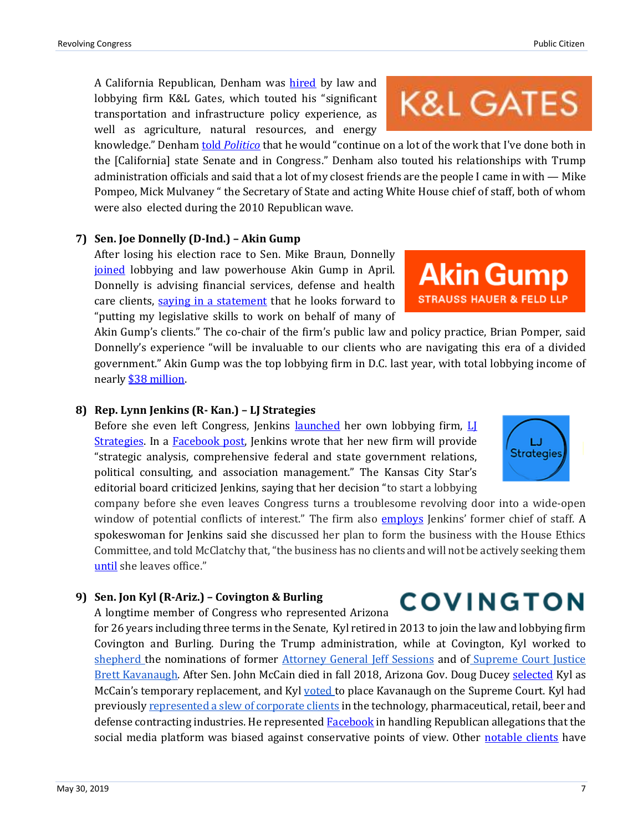A California Republican, Denham was [hired](http://www.klgates.com/kl-gates-further-strengthens-public-policy-and-law-practice-in-washington-dc-with-former-congressman-jeff-denham-05-08-2019/) by law and lobbying firm K&L Gates, which touted his "significant transportation and infrastructure policy experience, as well as agriculture, natural resources, and energy

knowledge." Denham told *[Politico](https://www.politico.com/newsletters/politico-influence/2019/05/08/jeff-denham-heads-to-k-street-433739)* that he would "continue on a lot of the work that I've done both in the [California] state Senate and in Congress." Denham also touted his relationships with Trump administration officials and said that a lot of my closest friends are the people I came in with — Mike Pompeo, Mick Mulvaney " the Secretary of State and acting White House chief of staff, both of whom were also elected during the 2010 Republican wave.

### **7) Sen. Joe Donnelly (D-Ind.) – Akin Gump**

After losing his election race to Sen. Mike Braun, Donnelly [joined](https://www.rollcall.com/news/congress/ex-sen-joe-donnelly-goes-to-k-streets-akin-gump) lobbying and law powerhouse Akin Gump in April. Donnelly is advising financial services, defense and health care clients, [saying in a statement](https://www.akingump.com/en/news-insights/former-u-s-senator-joe-donnelly-to-join-akin-gump.html) that he looks forward to "putting my legislative skills to work on behalf of many of

Akin Gump's clients." The co-chair of the firm's public law and policy practice, Brian Pomper, said Donnelly's experience "will be invaluable to our clients who are navigating this era of a divided government." Akin Gump was the top lobbying firm in D.C. last year, with total lobbying income of nearl[y \\$38 million.](https://www.opensecrets.org/lobby/top.php?indexType=l&showYear=2018)

### **8) Rep. Lynn Jenkins (R- Kan.) – LJ Strategies**

Before she even left Congress, Jenkins **launched** her own lobbying firm, LI [Strategies.](https://www.ljstrategies.com/) In a [Facebook post,](https://www.facebook.com/lynn.jenkins.332/posts/2388159001199107) Jenkins wrote that her new firm will provide "strategic analysis, comprehensive federal and state government relations, political consulting, and association management." The Kansas City Star's editorial board criticized Jenkins, saying that her decision "to start a lobbying

company before she even leaves Congress turns a troublesome revolving door into a wide-open window of potential conflicts of interest." The firm also *[employs](https://www.mcclatchydc.com/news/politics-government/congress/article222791425.html)* Jenkins' former chief of staff. A spokeswoman for Jenkins said she discussed her plan to form the business with the House Ethics Committee, and told McClatchy that, "the business has no clients and will not be actively seeking them [until](https://www.mcclatchydc.com/news/politics-government/congress/article222791425.html) she leaves office."

### **9) Sen. Jon Kyl (R-Ariz.) – Covington & Burling**

A longtime member of Congress who represented Arizona

for 26 years including three terms in the Senate, Kyl retired in 2013 to join the law and lobbying firm Covington and Burling. During the Trump administration, while at Covington, Kyl worked to [shepherd](https://www.rollcall.com/news/hawkings/former-sen-jon-kyl-got-tapped-guide-brett-kavanaugh) the nominations of former [Attorney General Jeff Sessions](https://www.azcentral.com/story/news/politics/azdc/2017/01/13/jon-kyl-helping-jeff-sessions-confirmation-hearing-attorney-general/96558516/) and of [Supreme Court Justice](https://www.rollcall.com/news/hawkings/former-sen-jon-kyl-got-tapped-guide-brett-kavanaugh)  [Brett Kavanaugh.](https://www.rollcall.com/news/hawkings/former-sen-jon-kyl-got-tapped-guide-brett-kavanaugh) After Sen. John McCain died in fall 2018, Arizona Gov. Doug Ducey [selected](https://www.azcentral.com/story/news/politics/arizona/2018/09/04/jon-kyl-named-john-mccain-replacement-senate-appointment-ducey/1148030002/) Kyl as McCain's temporary replacement, and Ky[l voted](https://cronkitenews.azpbs.org/2018/10/06/flake-kyl-join-majority-to-put-kavanaugh-on-supreme-court/) to place Kavanaugh on the Supreme Court. Kyl had previously [represented a slew of corporate clients](https://readsludge.com/2018/09/04/revolving-door-lobbyist-jon-kyl-to-replace-mccain/) in the technology, pharmaceutical, retail, beer and defense contracting industries. He represented **Facebook** in handling Republican allegations that the social media platform was biased against conservative points of view. Other [notable clients](https://www.thedailybeast.com/john-mccains-replacement-jon-kyl-goes-from-lobbying-the-senate-to-being-a-senator) have

## **K&L GATES**

**Akin Gump** 

**STRAUSS HAUER & FELD LLP** 



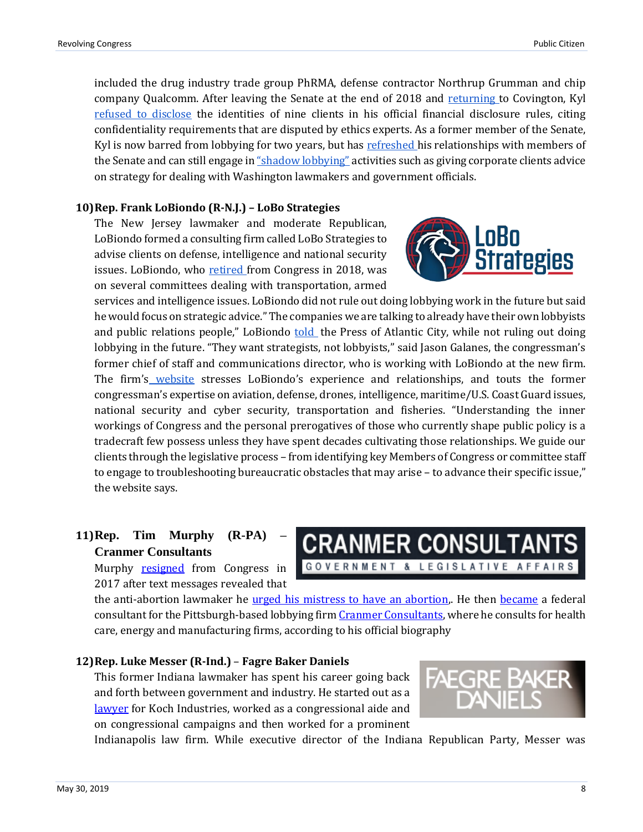included the drug industry trade group PhRMA, defense contractor Northrup Grumman and chip company Qualcomm. After leaving the Senate at the end of 2018 and [returning t](https://www.cov.com/en/news-and-insights/news/2019/01/jon-kyl-returns-to-covington)o Covington, Kyl [refused to disclose](https://theintercept.com/2019/01/08/jon-kyl-lobbyist-financial-disclosures/) the identities of nine clients in his official financial disclosure rules, citing confidentiality requirements that are disputed by ethics experts. As a former member of the Senate, Kyl is now barred from lobbying for two years, but has [refreshed h](https://theintercept.com/2018/12/10/jon-kyl-senator-arizona/)is relationships with members of the Senate and can still engage in ["shadow lobbying"](https://www.thenation.com/article/shadow-lobbying-complex/) activities such as giving corporate clients advice on strategy for dealing with Washington lawmakers and government officials.

### **10)Rep. Frank LoBiondo (R-N.J.) – LoBo Strategies**

The New Jersey lawmaker and moderate Republican, LoBiondo formed a consulting firm called LoBo Strategies to advise clients on defense, intelligence and national security issues. LoBiondo, who [retired](https://www.politico.com/story/2017/11/07/lobiondo-retire-congress-244647) from Congress in 2018, was on several committees dealing with transportation, armed

services and intelligence issues. LoBiondo did not rule out doing lobbying work in the future but said he would focus on strategic advice." The companies we are talking to already have their own lobbyists and public relations people," LoBiondo [told](https://www.pressofatlanticcity.com/news/breaking/lobiondo-starts-consulting-firm-but-won-t-do-lobbying/article_cc96d713-8473-5621-a7c3-fc22dc767234.html) the Press of Atlantic City, while not ruling out doing lobbying in the future. "They want strategists, not lobbyists," said Jason Galanes, the congressman's former chief of staff and communications director, who is working with LoBiondo at the new firm. The firm's [website](http://lobostrategiesllc.com/) stresses LoBiondo's experience and relationships, and touts the former congressman's expertise on aviation, defense, drones, intelligence, maritime/U.S. Coast Guard issues, national security and cyber security, transportation and fisheries. "Understanding the inner workings of Congress and the personal prerogatives of those who currently shape public policy is a tradecraft few possess unless they have spent decades cultivating those relationships. We guide our clients through the legislative process – from identifying key Members of Congress or committee staff to engage to troubleshooting bureaucratic obstacles that may arise – to advance their specific issue," the website says.

### **11)Rep. Tim Murphy (R-PA) – Cranmer Consultants**

Murphy **[resigned](https://www.post-gazette.com/news/politics-nation/2017/10/05/Tim-Murphy-resigns-congressman-pennsylvania-abortion-texts-congress-paul-ryan/stories/201710050206)** from Congress in 2017 after text messages revealed that

the anti-abortion lawmaker he urged his mistress to have an abortion. He then [became](https://www.post-gazette.com/news/politics-nation/2018/05/03/Tim-Murphy-joins-Cranmer-Consultants-lobbying-firm/stories/201805030183) a federal consultant for the Pittsburgh-based lobbying firm [Cranmer Consultants,](http://cranmerconsultants.com/about.html) where he consults for health care, energy and manufacturing firms, according to his official biography

**CRANMER CONSULTAN** 

GOVERNMENT & LEGISLATIVE AFFAIRS

### **12)Rep. Luke Messer (R-Ind.)** – **Fagre Baker Daniels**

This former Indiana lawmaker has spent his career going back and forth between government and industry. He started out as a [lawyer](https://www.indystar.com/story/news/politics/2018/04/20/luke-messer-gop-establishment-favorite-says-childhood-lessons-taught-him-perseverance/532368002/) for Koch Industries, worked as a congressional aide and on congressional campaigns and then worked for a prominent



Indianapolis law firm. While executive director of the Indiana Republican Party, Messer was

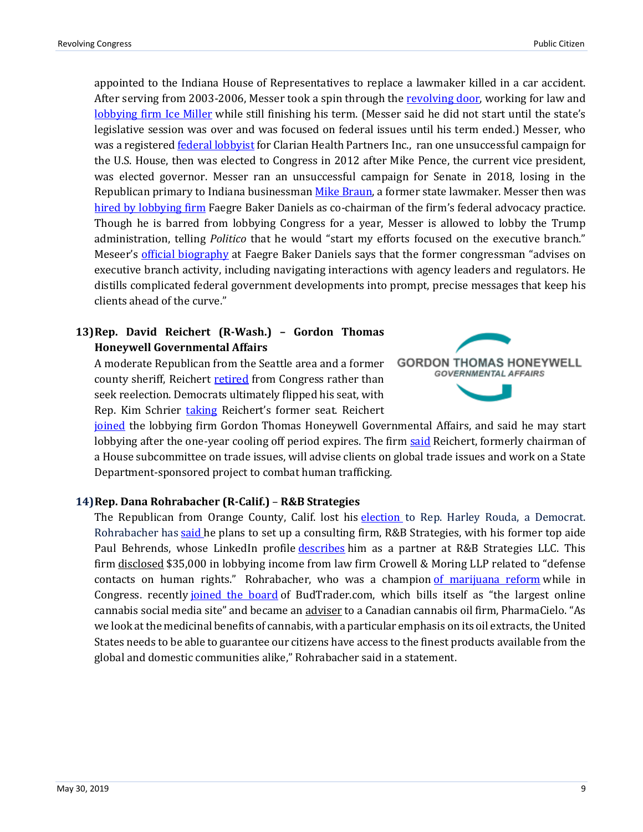appointed to the Indiana House of Representatives to replace a lawmaker killed in a car accident. After serving from 2003-2006, Messer took a spin through the [revolving door,](https://www.indystar.com/story/news/politics/2018/04/20/luke-messer-gop-establishment-favorite-says-childhood-lessons-taught-him-perseverance/532368002/) working for law and [lobbying firm Ice Miller](https://www.nwitimes.com/news/local/lawmaker-to-work-for-firm-linked-to-toll-road-lease/article_dbf6f052-27b7-5acb-a232-7c774b324101.html) while still finishing his term. (Messer said he did not start until the state's legislative session was over and was focused on federal issues until his term ended.) Messer, who was a registered [federal lobbyist](https://soprweb.senate.gov/index.cfm?event=getFilingDetails&filingID=8777289E-611F-4BE4-907B-92D0A7A4667A&filingTypeID=1) for Clarian Health Partners Inc., ran one unsuccessful campaign for the U.S. House, then was elected to Congress in 2012 after Mike Pence, the current vice president, was elected governor. Messer ran an unsuccessful campaign for Senate in 2018, losing in the Republican primary to Indiana businessman [Mike Braun,](https://www.indystar.com/story/news/politics/2018/05/08/indiana-primary-election-senate-race-results-braun-wins-over-congressmen-rokita-and-messer/572321002/) a former state lawmaker. Messer then was [hired by lobbying firm](https://www.politico.com/newsletters/politico-influence/2019/01/15/messer-joins-faegre-baker-daniels-479925) Faegre Baker Daniels as co-chairman of the firm's federal advocacy practice. Though he is barred from lobbying Congress for a year, Messer is allowed to lobby the Trump administration, telling *Politico* that he would "start my efforts focused on the executive branch." Meseer's [official biography](https://www.faegrebd.com/en/professionals/m/messer-luke#!) at Faegre Baker Daniels says that the former congressman "advises on executive branch activity, including navigating interactions with agency leaders and regulators. He distills complicated federal government developments into prompt, precise messages that keep his clients ahead of the curve."

### **13)Rep. David Reichert (R-Wash.) – Gordon Thomas Honeywell Governmental Affairs**

A moderate Republican from the Seattle area and a former county sheriff, Reichert [retired](https://www.washingtonpost.com/news/powerpost/wp/2017/09/06/dave-reichert-a-swing-seat-republican-will-retire-from-the-house/?utm_term=.99716dd719a3) from Congress rather than seek reelection. Democrats ultimately flipped his seat, with Rep. Kim Schrier [taking](https://www.cnn.com/2018/11/08/politics/schrier-beats-rossi-washington/index.html) Reichert's former seat. Reichert



[joined](https://publiccitizen-my.sharepoint.com/personal/azibel_publiccitizen_onmicrosoft_com/Documents/13)%09https:/www.seattletimes.com/seattle-news/politics/retired-rep-dave-reichert-joins-lobbying-firm-will-work-initially-on-anti-human-trafficking-project/) the lobbying firm Gordon Thomas Honeywell Governmental Affairs, and said he may start lobbying after the one-year cooling off period expires. The firm [said](https://www.prnewswire.com/news-releases/former-congressman-dave-reichert-joins-gordon-thomas-honeywell-governmental-affairs-300777339.html) Reichert, formerly chairman of a House subcommittee on trade issues, will advise clients on global trade issues and work on a State Department-sponsored project to combat human trafficking.

### **14)Rep. Dana Rohrabacher (R-Calif.)** – **R&B Strategies**

The Republican from Orange County, Calif. lost his [election](https://www.usatoday.com/story/news/politics/elections/2018/11/07/election-results-2018-dana-rohrabacher-harvey-rouda/1917374002/) to Rep. Harley Rouda, a Democrat. Rohrabacher has [said](https://www.wsj.com/articles/defeated-republican-rep-rohrabacher-considers-starting-consulting-firm-11544619601) he plans to set up a consulting firm, R&B Strategies, with his former top aide Paul Behrends, whose LinkedIn profile [describes](https://www.linkedin.com/in/paul-behrends-b14b766/) him as a partner at R&B Strategies LLC. This firm [disclosed](https://soprweb.senate.gov/index.cfm?event=getFilingDetails&filingID=B26E630F-7106-43AE-B58B-A8685DAAC84E&filingTypeID=51) \$35,000 in lobbying income from law firm Crowell & Moring LLP related to "defense" contacts on human rights." Rohrabacher, who was a champion [of marijuana reform](https://www.marijuanamoment.net/rep-dana-rohrabacher-touts-marijuana-accomplishments-in-farewell-speech/) while in Congress. recently [joined the board](https://www.rollcall.com/news/congress/ex-rep-dana-rohrabacher-joins-board-of-craigslist-of-weed) of BudTrader.com, which bills itself as "the largest online cannabis social media site" and became an [adviser](https://www.prnewswire.com/news-releases/pharmacielo-gears-up-for-us-market-demand-enlists-former-congressman-and-medical-cannabis-advocate-dana-rohrabacher-as-a-special-advisor-300858134.html) to a Canadian cannabis oil firm, PharmaCielo. "As we look at the medicinal benefits of cannabis, with a particular emphasis on its oil extracts, the United States needs to be able to guarantee our citizens have access to the finest products available from the global and domestic communities alike," Rohrabacher said in a statement.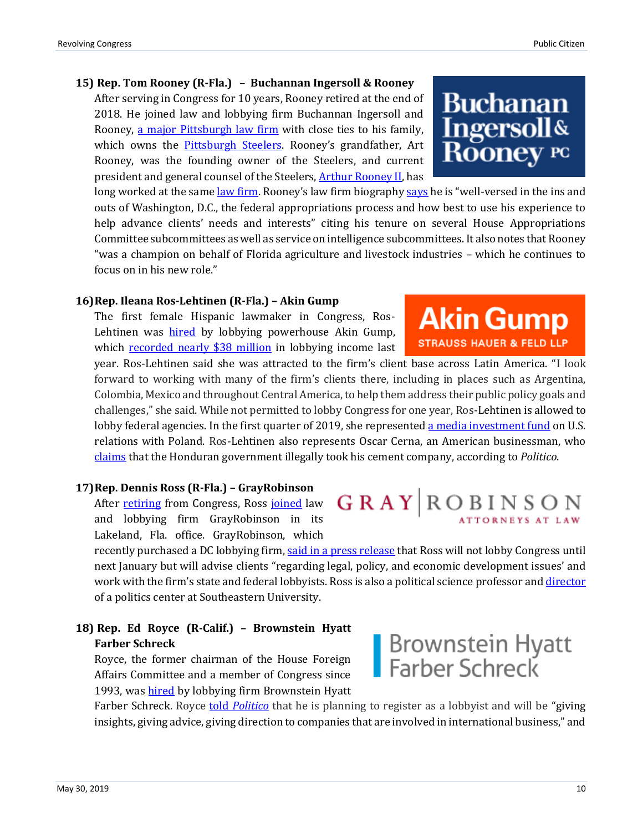### **15) Rep. Tom Rooney (R-Fla.)** – **Buchannan Ingersoll & Rooney**

After serving in Congress for 10 years, Rooney retired at the end of 2018. He joined law and lobbying firm Buchannan Ingersoll and Rooney, [a major Pittsburgh law firm](https://www.post-gazette.com/business/development/2017/05/17/Buchanan-Ingersoll-moving-headquarters-Union-Trust-building-One-Oxford-Centre-Pittsburgh/stories/201705180020) with close ties to his family, which owns the [Pittsburgh Steelers.](https://www.sun-sentinel.com/news/fl-xpm-2009-02-02-0902040071-story.html) Rooney's grandfather, Art Rooney, was the founding owner of the Steelers, and current president and general counsel of the Steelers, [Arthur Rooney II,](https://www.si.com/nfl/pittsburgh-steelers-owner-art-rooney) has

long worked at the same <u>law firm</u>. Rooney's [law firm](https://www.bipc.com/pittsburgh-government-relations-attorney-and-steelers-president-art-rooney-ii-featured-in-tribune-review-article) biography [says](https://www.bipc.com/thomas-j.-rooney) he is "well-versed in the ins and outs of Washington, D.C., the federal appropriations process and how best to use his experience to help advance clients' needs and interests" citing his tenure on several House Appropriations Committee subcommittees as well as service on intelligence subcommittees. It also notes that Rooney "was a champion on behalf of Florida agriculture and livestock industries – which he continues to focus on in his new role."

### **16)Rep. Ileana Ros-Lehtinen (R-Fla.) – Akin Gump**

The first female Hispanic lawmaker in Congress, Ros-Lehtinen was **[hired](https://www.miamiherald.com/news/politics-government/article224037990.html)** by lobbying powerhouse Akin Gump, which [recorded nearly \\$38 million](https://www.opensecrets.org/lobby/firmsum.php?id=D000000162&year=2018) in lobbying income last

year. Ros-Lehtinen said she was attracted to the firm's client base across Latin America. "I look forward to working with many of the firm's clients there, including in places such as Argentina, Colombia, Mexico and throughout Central America, to help them address their public policy goals and challenges," she said. While not permitted to lobby Congress for one year, Ros-Lehtinen is allowed to lobby federal agencies. In the first quarter of 2019, she represented [a media investment fund](https://soprweb.senate.gov/index.cfm?event=getFilingDetails&filingID=4479AC46-CA2F-432E-95BC-F1F917967F21&filingTypeID=51) on U.S. relations with Poland. Ros-Lehtinen also represents Oscar Cerna, an American businessman, who [claims](https://www.politico.com/newsletters/politico-influence/2019/04/12/pfizer-hires-jeff-miller-424439) that the Honduran government illegally took his cement company, according to *Politico*.

### **17)Rep. Dennis Ross (R-Fla.) – GrayRobinson**

After [retiring](https://www.politico.com/states/florida/story/2018/04/11/floridas-dennis-ross-to-retire-from-us-house-359492) from Congress, Ross [joined](https://www.theledger.com/news/20190122/former-rep-ross-joins-law-firm-in-lakeland-office) law and lobbying firm GrayRobinson in its Lakeland, Fla. office. GrayRobinson, which

recently purchased a DC lobbying firm, [said in a press release](http://www.gray-robinson.com/news/post/1936/grayrobinson-welcomes-former-united-states-congressman-dennis-ross-as-of-counsel) that Ross will not lobby Congress until next January but will advise clients "regarding legal, policy, and economic development issues' and work with the firm's state and federal lobbyists. Ross is also a political science professor and [director](https://www.theledger.com/news/20190122/former-rep-ross-joins-law-firm-in-lakeland-office) of a politics center at Southeastern University.

### **18) Rep. Ed Royce (R-Calif.) – Brownstein Hyatt Farber Schreck**

Royce, the former chairman of the House Foreign Affairs Committee and a member of Congress since 1993, was [hired](https://thehill.com/business-a-lobbying/business-a-lobbying/431159-former-gop-chairman-royce-joins-lobbying-shop) by lobbying firm Brownstein Hyatt

Farber Schreck. Royce told *[Politico](https://www.politico.com/newsletters/politico-influence/2019/02/25/royce-heads-to-k-street-522852)* that he is planning to register as a lobbyist and will be "giving insights, giving advice, giving direction to companies that are involved in international business," and

### **Buchanan Ingersoll& Rooney** pc

**Akin Gump** 

**STRAUSS HAUER & FELD LLP** 

# GRAY ROBINSON

Brownstein Hyatt<br>Farber Schreck

May 30, 2019 10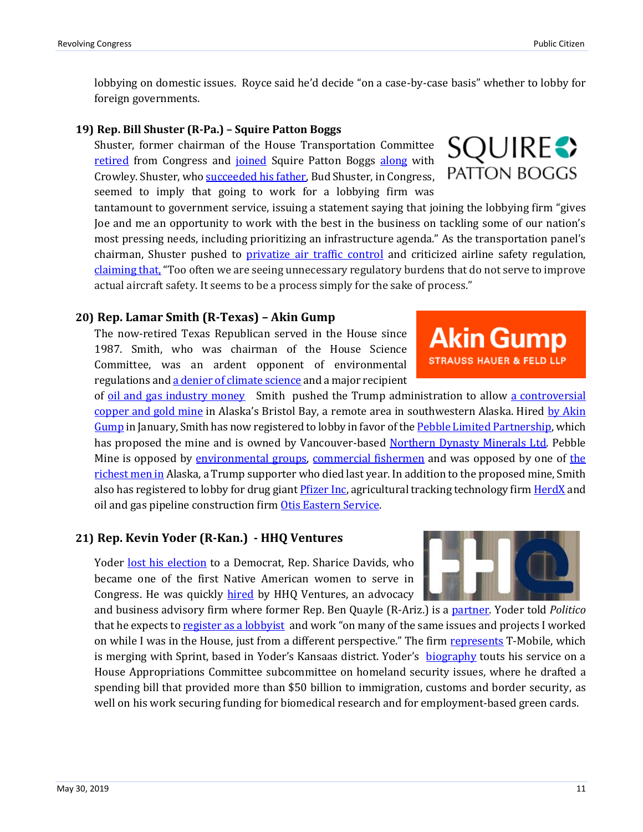lobbying on domestic issues. Royce said he'd decide "on a case-by-case basis" whether to lobby for foreign governments.

### **19) Rep. Bill Shuster (R-Pa.) – Squire Patton Boggs**

Shuster, former chairman of the House Transportation Committee [retired](https://www.washingtonpost.com/news/powerpost/wp/2018/01/02/rep-bill-shuster-powerful-transportation-chairman-will-retire-from-house/?utm_term=.2cd29ccc23b4) from Congress and *joined* Squire Patton Boggs [along](https://www.politico.com/newsletters/politico-influence/2019/02/19/crowley-shuster-join-squire-patton-boggs-516933) with Crowley. Shuster, wh[o succeeded his father,](https://www.rollcall.com/news/politics/end-of-the-road-for-the-highway-king-shusters) Bud Shuster, in Congress, seemed to imply that going to work for a lobbying firm was

tantamount to government service, issuing a statement saying that joining the lobbying firm "gives Joe and me an opportunity to work with the best in the business on tackling some of our nation's most pressing needs, including prioritizing an infrastructure agenda." As the transportation panel's chairman, Shuster pushed to *privatize air traffic control* and criticized airline safety regulation, [claiming that,](https://www.washingtonpost.com/local/trafficandcommuting/with-its-ties-in-washington-boeing-has-taken-over-more-and-more-of-the-faas-job/2019/03/24/6e5ef2c6-4be8-11e9-9663-00ac73f49662_story.html?utm_term=.c983d0cec70b) "Too often we are seeing unnecessary regulatory burdens that do not serve to improve actual aircraft safety. It seems to be a process simply for the sake of process."

### **20) Rep. Lamar Smith (R-Texas) – Akin Gump**

The now-retired Texas Republican served in the House since 1987. Smith, who was chairman of the House Science Committee, was an ardent opponent of environmental regulations an[d a denier of climate science](https://www.latimes.com/business/hiltzik/la-fi-hiltzik-lamar-smith-20171103-story.html) and a major recipient

of [oil and gas industry money](https://www.opensecrets.org/members-of-congress/industries?cycle=Career&cid=N00001811&type=I) Smith pushed the Trump administration to allow [a controversial](https://www.washingtonpost.com/news/energy-environment/wp/2017/05/12/obama-blocked-this-controversial-alaskan-gold-mine-trump-just-gave-it-new-life/?utm_term=.63904f49681f)  [copper and gold mine](https://www.washingtonpost.com/news/energy-environment/wp/2017/05/12/obama-blocked-this-controversial-alaskan-gold-mine-trump-just-gave-it-new-life/?utm_term=.63904f49681f) in Alaska's Bristol Bay, a remote area in southwestern Alaska. Hired [by Akin](https://www.akingump.com/en/news-insights/former-congresswoman-ileana-ros-lehtinen-and-congressman-lamar.html)  [Gump](https://www.akingump.com/en/news-insights/former-congresswoman-ileana-ros-lehtinen-and-congressman-lamar.html) in January, Smith has now registered to lobby in favor of th[e Pebble Limited Partnership,](https://soprweb.senate.gov/index.cfm?event=getFilingDetails&filingID=845CC9E9-8E73-409B-A368-92AE174C9D0B&filingTypeID=51) which has proposed the mine and is owned by Vancouver-based [Northern Dynasty Minerals Ltd.](https://www.bloomberg.com/news/articles/2019-04-30/industry-watchdog-alleges-northern-dynasty-misled-investors) Pebble Mine is opposed by [environmental groups,](https://earthjustice.org/features/alaska-s-bristol-bay-the-pebble-mine) [commercial fishermen](http://fishermenforbristolbay.org/) and was opposed by one of the [richest men in](https://www.adn.com/business-economy/2018/09/12/bob-gillam-wealth-fund-founder-pebble-critic-and-one-of-alaskas-richest-men-dies-at-age-72/) Alaska, a Trump supporter who died last year. In addition to the proposed mine, Smith also has registered to lobby for drug gian[t Pfizer Inc,](https://soprweb.senate.gov/index.cfm?event=getFilingDetails&filingID=4894FBFD-52A0-4B08-BF2D-BFCCD0D1718F&filingTypeID=51) agricultural tracking technology fir[m HerdX](https://soprweb.senate.gov/index.cfm?event=getFilingDetails&filingID=184F2D41-AE1F-49C4-B69D-326B302431D2&filingTypeID=51) and oil and gas pipeline construction fir[m Otis Eastern Service.](https://soprweb.senate.gov/index.cfm?event=getFilingDetails&filingID=24CE148C-7E82-41D7-B0A4-A14E4FA481F9&filingTypeID=51)

### **21) Rep. Kevin Yoder (R-Kan.) - HHQ Ventures**

Yoder [lost his election](https://www.kansascity.com/news/politics-government/election/article221156115.html) to a Democrat, Rep. Sharice Davids, who became one of the first Native American women to serve in Congress. He was quickly [hired](http://hhqventures.com/wp-content/uploads/2019/01/HHQ-KevinYoder-Announcement-FINAL.pdf) by HHQ Ventures, an advocacy

and business advisory firm where former Rep. Ben Quayle (R-Ariz.) is a [partner.](http://hhqventures.com/ben/index.html) Yoder told *Politico* that he expects t[o register as a lobbyist](https://www.politico.com/newsletters/politico-influence/2019/01/16/yoder-joins-hhq-481437) and work "on many of the same issues and projects I worked on while I was in the House, just from a different perspective." The firm [represents](https://www.kansas.com/news/business/article224645630.html) T-Mobile, which is merging with Sprint, based in Yoder's Kansaas district. Yoder's [biography](http://hhqventures.com/kevin/index.html) touts his service on a House Appropriations Committee subcommittee on homeland security issues, where he drafted a spending bill that provided more than \$50 billion to immigration, customs and border security, as well on his work securing funding for biomedical research and for employment-based green cards.



**Akin Gump** 

**STRAUSS HAUER & FELD LLP** 

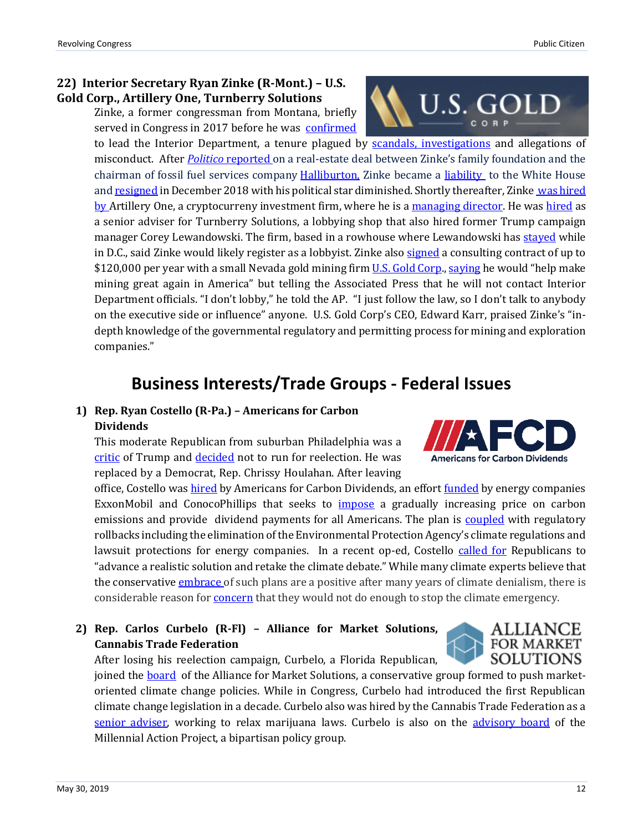### **22) Interior Secretary Ryan Zinke (R-Mont.) – U.S. Gold Corp., Artillery One, Turnberry Solutions**

Zinke, a former congressman from Montana, briefly served in Congress in 2017 before he was [confirmed](https://www.washingtonpost.com/news/energy-environment/wp/2017/03/01/senate-confirms-ryan-zinke-as-interior-secretary/?utm_term=.116b592fef61)

to lead the Interior Department, a tenure plagued by [scandals, investigations](https://www.washingtonpost.com/energy-environment/2018/12/20/zinke-was-rising-star-washington-then-he-joined-trump-administration/?utm_term=.beb673bb9b58) and allegations of misconduct. After *Politico* [reported o](https://www.politico.com/story/2018/06/19/ryan-zinke-halliburton-park-whitefish-montana-647731)n a real-estate deal between Zinke's family foundation and the chairman of fossil fuel services company **Halliburton**, Zinke became a [liability](https://www.washingtonpost.com/national/health-science/white-house-concerned-interior-secretary-ryan-zinke-violated-federal-rules/2018/11/01/e5e4d2f4-dddc-11e8-b3f0-62607289efee_story.html?utm_term=.257a5878a206) to the White House an[d resigned](https://www.washingtonpost.com/energy-environment/2018/12/20/zinke-was-rising-star-washington-then-he-joined-trump-administration/?utm_term=.beb673bb9b58) in December 2018 with his political star diminished. Shortly thereafter, Zinke was hired [by A](https://www.thedailybeast.com/ryan-zinke-now-works-for-blockchain-kingpin-with-a-shady-past)rtillery One, a cryptocurreny investment firm, where he is a [managing director.](https://news.vice.com/en_us/article/yw8g55/ryan-zinke-says-hes-now-trying-to-make-a-cryptocurrency-company-great-again) He was [hired](https://www.politico.com/story/2019/02/13/ryan-zinke-lobbying-firm-1168926) as a senior adviser for Turnberry Solutions, a lobbying shop that also hired former Trump campaign manager Corey Lewandowski. The firm, based in a rowhouse where Lewandowski ha[s stayed](https://www.politico.com/story/2017/11/15/inside-the-lewandowski-embassy-244910) while in D.C., said Zinke would likely register as a lobbyist. Zinke also [signed](https://www.apnews.com/a05436323c744cc6bdcb809fb199e6f3) a consulting contract of up to \$120,000 per year with a small Nevada gold mining firm **U.S. Gold Corp.**, saving he would "help make mining great again in America" but telling the Associated Press that he will not contact Interior Department officials. "I don't lobby," he told the AP. "I just follow the law, so I don't talk to anybody on the executive side or influence" anyone. U.S. Gold Corp's CEO, Edward Karr, praised Zinke's "indepth knowledge of the governmental regulatory and permitting process for mining and exploration companies."

### **Business Interests/Trade Groups - Federal Issues**

### **1) Rep. Ryan Costello (R-Pa.) – Americans for Carbon Dividends**

This moderate Republican from suburban Philadelphia was a [critic](https://slate.com/news-and-politics/2018/03/retiring-gop-congressman-ryan-costello-talks-donald-trumps-chaos.html) of Trump and [decided](https://www.politico.com/story/2018/03/25/costello-republican-reelection-pennsylvania-444910) not to run for reelection. He was replaced by a Democrat, Rep. Chrissy Houlahan. After leaving

office, Costello wa[s hired](https://www.axios.com/republican-ryan-costello-pushes-carbon-tax-f24c8421-03be-40f6-98a9-a05ceb490706.html) by Americans for Carbon Dividends, an effort [funded](https://www.axios.com/conocophillips-backs-carbon-tax-push-a0c47c65-7a0e-4ec6-85c6-771687849a97.html) by energy companies ExxonMobil and ConocoPhillips that seeks to [impose](https://www.wsj.com/articles/lesson-from-2018-republicans-must-deal-with-climate-change-11546908779) a gradually increasing price on carbon emissions and provide dividend payments for all Americans. The plan is [coupled](https://www.afcd.org/the-solution) with regulatory rollbacks including the elimination of the Environmental Protection Agency's climate regulations and lawsuit protections for energy companies. In a recent op-ed, Costello [called for](https://thehill.com/blogs/congress-blog/energy-environment/437605-green-new-deal-is-an-opportunity-for-gop-to-retake) Republicans to "advance a realistic solution and retake the climate debate." While many climate experts believe that the conservative [embrace](https://insideclimatenews.org/news/07032019/carbon-tax-proposals-compare-baker-shultz-exxon-conocophillips-ccl-congress) of such plans are a positive after many years of climate denialism, there is considerable reason for **concern** that they would not do enough to stop the climate emergency.

### **2) Rep. Carlos Curbelo (R-Fl) – Alliance for Market Solutions, Cannabis Trade Federation**



joined the **board** of the Alliance for Market Solutions, a conservative group formed to push marketoriented climate change policies. While in Congress, Curbelo had introduced the first Republican climate change legislation in a decade. Curbelo also was hired by the Cannabis Trade Federation as a [senior adviser,](https://www.politico.com/newsletters/politico-influence/2019/02/21/curbelo-joins-cannabis-trade-group-397776) working to relax marijuana laws. Curbelo is also on the [advisory board](https://www.millennialaction.org/press-archives/for-immediate-release-former-us-representative-carlos-curbelo-joins-millennial-action-projects-bipartisan-advisory-board) of the Millennial Action Project, a bipartisan policy group.



U.S. GOLD

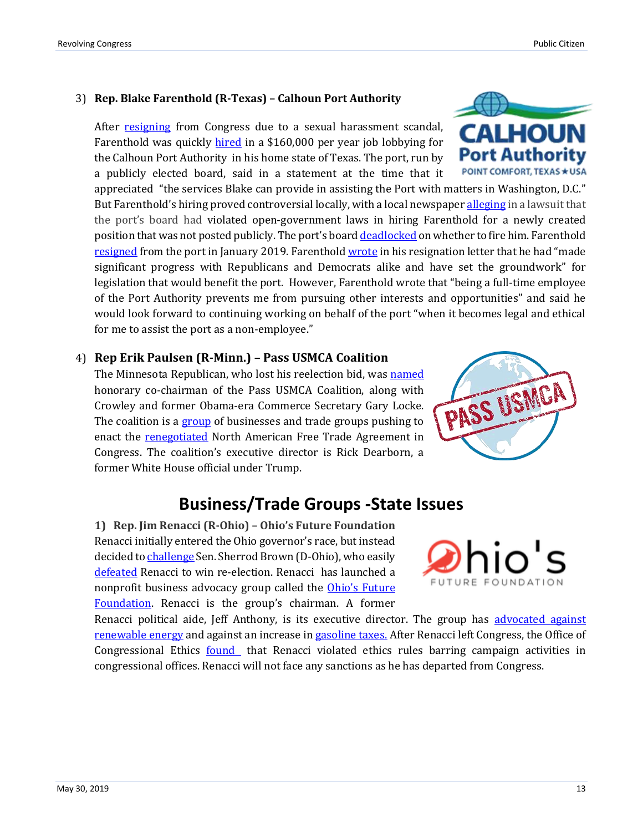### 3) **Rep. Blake Farenthold (R-Texas) – Calhoun Port Authority**

After [resigning](https://www.cnn.com/2018/04/06/politics/blake-farenthold-resigns-congress/index.html) from Congress due to a sexual harassment scandal, Farenthold was quickly [hired](https://www.caller.com/story/news/2018/05/14/ex-congressman-blake-farenthold-finds-safe-harbor-port-lavaca/600039002/) in a \$160,000 per year job lobbying for the Calhoun Port Authority in his home state of Texas. The port, run by a publicly elected board, said in a statement at the time that it

appreciated "the services Blake can provide in assisting the Port with matters in Washington, D.C." But Farenthold's hiring proved controversial locally, with a local newspaper [alleging](https://www.victoriaadvocate.com/news/government/advocate-files-lawsuit-against-calhoun-port-in-farenthold-hiring/article_05c00f7e-5d29-11e8-bbe5-07ef565f4b19.html) in a lawsuit that the port's board had violated open-government laws in hiring Farenthold for a newly created position that was not posted publicly. The port's board [deadlocked](https://www.rollcall.com/news/politics/ex-rep-farenthold-to-keep-lobbying-job) on whether to fire him. Farenthold [resigned](https://www.victoriaadvocate.com/counties/calhoun/farenthold-resigns-as-calhoun-port-authority-lobbyist-w-resignation-letter/article_2a5ed496-14f3-11e9-b079-df25f3b7fb80.html) from the port in January 2019. Farenthol[d wrote](https://bloximages.newyork1.vip.townnews.com/victoriaadvocate.com/content/tncms/assets/v3/editorial/c/f4/cf4c27c4-150c-11e9-bbb3-d74a1c5b3156/5c379b2ce6789.pdf.pdf) in his resignation letter that he had "made" significant progress with Republicans and Democrats alike and have set the groundwork" for legislation that would benefit the port. However, Farenthold wrote that "being a full-time employee of the Port Authority prevents me from pursuing other interests and opportunities" and said he would look forward to continuing working on behalf of the port "when it becomes legal and ethical for me to assist the port as a non-employee."

### 4) **Rep Erik Paulsen (R-Minn.) – Pass USMCA Coalition**

The Minnesota Republican, who lost his reelection bid, wa[s named](http://www.startribune.com/erik-paulsen-to-lead-effort-to-get-nafta-replacement-passed/509331602/) honorary co-chairman of the Pass USMCA Coalition, along with Crowley and former Obama-era Commerce Secretary Gary Locke. The coalition is a [group](https://www.prnewswire.com/news-releases/former-congressman-erik-paulsen-joins-pass-usmca-coalition-300841584.html) of businesses and trade groups pushing to enact the [renegotiated](https://www.citizen.org/article/current-status-of-the-fight-to-replace-nafta/) North American Free Trade Agreement in Congress. The coalition's executive director is Rick Dearborn, a former White House official under Trump.

### **Business/Trade Groups -State Issues**

**1) Rep. Jim Renacci (R-Ohio) – Ohio's Future Foundation**  Renacci initially entered the Ohio governor's race, but instead decided t[o challenge](https://www.politico.com/story/2018/05/08/ohio-senate-primary-results-576755) Sen. Sherrod Brown (D-Ohio), who easily [defeated](https://www.cleveland.com/open/2018/11/sherrod_brown_easily_wins_re-e.html) Renacci to win re-election. Renacci has launched a nonprofit business advocacy group called the [Ohio's Future](https://www.cleveland.com/news/2019/01/former-congressman-republican-senate-nominee-jim-renacci-launching-political-nonprofit.html)  [Foundation.](https://www.cleveland.com/news/2019/01/former-congressman-republican-senate-nominee-jim-renacci-launching-political-nonprofit.html) Renacci is the group's chairman. A former

Renacci political aide, Jeff Anthony, is its executive director. The group has advocated against [renewable energy](https://www.ohiosfuturefoundation.org/blog/deal-or-no-deal-ohio-s-energy-mandates) and against an increase i[n gasoline taxes.](https://www.ohiosfuturefoundation.org/blog/ohio-s-gas-tax-in-the-real-world) After Renacci left Congress, the Office of Congressional Ethics **found** that Renacci violated ethics rules barring campaign activities in congressional offices. Renacci will not face any sanctions as he has departed from Congress.





PASS USMOA

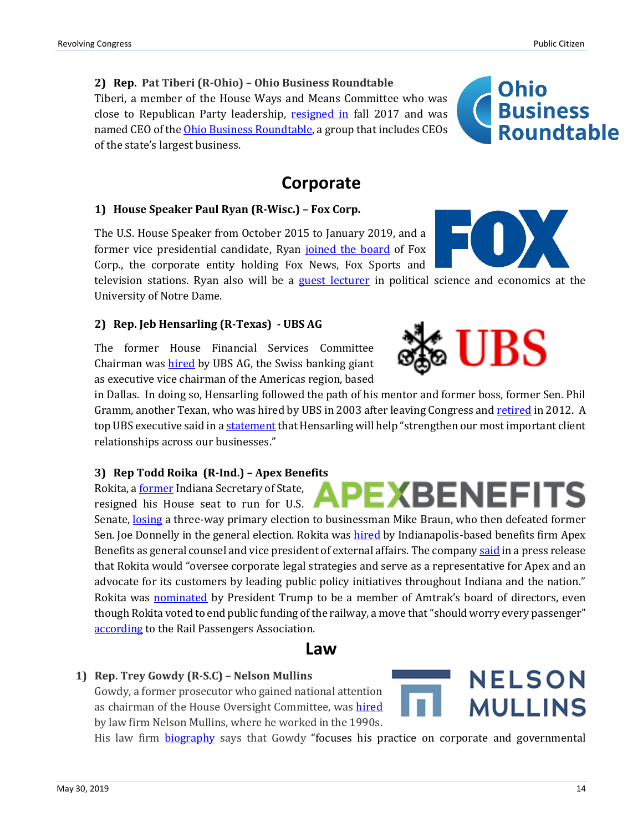close to Republican Party leadership, [resigned in](https://www.nytimes.com/2017/10/18/us/politics/tiberi-republican-resign-ohio.html) fall 2017 and was named CEO of the [Ohio Business Roundtable,](https://www.ohiobrt.com/news/2018/8/2/congressman-pat-tiberi-to-serve-as-new-ohio-business-roundtable-president-and-ceo) a group that includes CEOs

of the state's largest business.

### **Corporate**

### **1) House Speaker Paul Ryan (R-Wisc.) – Fox Corp.**

**2) Rep. Pat Tiberi (R-Ohio) – Ohio Business Roundtable** 

Tiberi, a member of the House Ways and Means Committee who was

The U.S. House Speaker from October 2015 to January 2019, and a former vice presidential candidate, Ryan [joined the board](https://www.cnn.com/2019/03/19/media/paul-ryan-fox-corporation/index.html) of Fox Corp., the corporate entity holding Fox News, Fox Sports and

television stations. Ryan also will be a [guest lecturer](https://news.nd.edu/news/former-house-speaker-ryan-joins-donnelly-mcdonough-on-notre-dame-faculty/) in political science and economics at the University of Notre Dame.

### **2) Rep. Jeb Hensarling (R-Texas) - UBS AG**

The former House Financial Services Committee Chairman was [hired](https://www.dallasnews.com/news/politics/2019/04/11/ubs-hires-jeb-hensarling-dallas-republican-chaired-us-house-panel-oversees-banking-sector) by UBS AG, the Swiss banking giant as executive vice chairman of the Americas region, based

in Dallas. In doing so, Hensarling followed the path of his mentor and former boss, former Sen. Phil Gramm, another Texan, who was hired by UBS in 2003 after leaving Congress and [retired](https://www.businesswire.com/news/home/20120210005128/en/UBS-Announces-Retirement-Senator-Phil-Gramm-Vice) in 2012. A top UBS executive said in [a statement](https://www.marketwatch.com/press-release/ubs-names-former-congressman-jeb-hensarling-executive-vice-chairman-of-the-americas-2019-04-11) that Hensarling will help "strengthen our most important client relationships across our businesses."

### **3) Rep Todd Roika (R-Ind.) – Apex Benefits**

Rokita, [a former](https://apexbg.com/todd-rokita/) Indiana Secretary of State, resigned his House seat to run for U.S.

Senate, [losing](https://www.indystar.com/story/news/politics/2018/05/08/indiana-primary-election-senate-race-results-braun-wins-over-congressmen-rokita-and-messer/572321002/) a three-way primary election to businessman Mike Braun, who then defeated former Sen. Joe Donnelly in the general election. Rokita was [hired](https://www.ibj.com/articles/72361-rokita-lands-job-with-indianapolis-health-benefits-company) by Indianapolis-based benefits firm Apex Benefits as general counsel and vice president of external affairs. The company [said](https://apexbg.com/apex-benefits-hires-former-u-s-congressman-todd-rokita-to-lead-legal-public-policy-and-external-affairs/) in a press release that Rokita would "oversee corporate legal strategies and serve as a representative for Apex and an advocate for its customers by leading public policy initiatives throughout Indiana and the nation." Rokita was [nominated](https://duboiscountyherald.com/b/rokita-backed-defunding-amtrak-picked-for-board) by President Trump to be a member of Amtrak's board of directors, even though Rokita voted to end public funding of the railway, a move that "should worry every passenger" [according](https://www.railpassengers.org/happening-now/news/blog/president-trump-nominates-amtrak-board-member-who-repeatedly-voted-to-end-amtrak/) to the Rail Passengers Association.

### **Law**

### **1) Rep. Trey Gowdy (R-S.C) – Nelson Mullins**

Gowdy, a former prosecutor who gained national attention as chairman of the House Oversight Committee, was [hired](https://www.postandcourier.com/politics/trey-gowdy-to-rejoin-south-carolina-law-firm-nelson-mullins/article_d1153dee-0485-11e9-a942-2b566d4524f0.html) by law firm Nelson Mullins, where he worked in the 1990s.

His law firm **[biography](https://www.nelsonmullins.com/people/trey-gowdy#main)** says that Gowdy "focuses his practice on corporate and governmental



**Ohio** 

**Business** 

**Roundtable** 



EXBENEFI